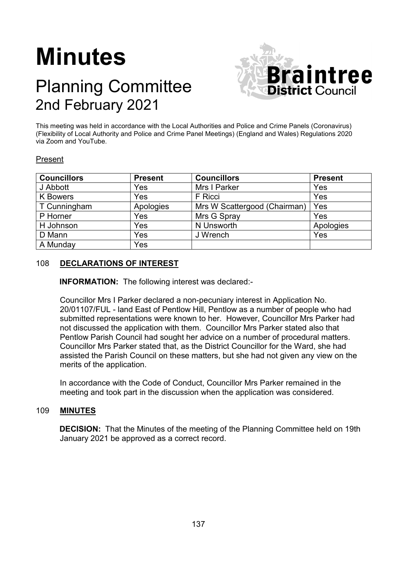# **Minutes**

# Planning Committee 2nd February 2021



This meeting was held in accordance with the Local Authorities and Police and Crime Panels (Coronavirus) (Flexibility of Local Authority and Police and Crime Panel Meetings) (England and Wales) Regulations 2020 via Zoom and YouTube.

## Present

| <b>Councillors</b> | <b>Present</b> | <b>Councillors</b>           | <b>Present</b> |
|--------------------|----------------|------------------------------|----------------|
| J Abbott           | Yes            | Mrs I Parker                 | Yes            |
| <b>K</b> Bowers    | Yes            | F Ricci                      | Yes            |
| T Cunningham       | Apologies      | Mrs W Scattergood (Chairman) | Yes            |
| P Horner           | Yes            | Mrs G Spray                  | Yes            |
| H Johnson          | Yes            | N Unsworth                   | Apologies      |
| D Mann             | Yes            | J Wrench                     | Yes            |
| A Munday           | Yes            |                              |                |

# 108 **DECLARATIONS OF INTEREST**

**INFORMATION:** The following interest was declared:-

Councillor Mrs I Parker declared a non-pecuniary interest in Application No. 20/01107/FUL - land East of Pentlow Hill, Pentlow as a number of people who had submitted representations were known to her. However, Councillor Mrs Parker had not discussed the application with them. Councillor Mrs Parker stated also that Pentlow Parish Council had sought her advice on a number of procedural matters. Councillor Mrs Parker stated that, as the District Councillor for the Ward, she had assisted the Parish Council on these matters, but she had not given any view on the merits of the application.

In accordance with the Code of Conduct, Councillor Mrs Parker remained in the meeting and took part in the discussion when the application was considered.

#### 109 **MINUTES**

**DECISION:** That the Minutes of the meeting of the Planning Committee held on 19th January 2021 be approved as a correct record.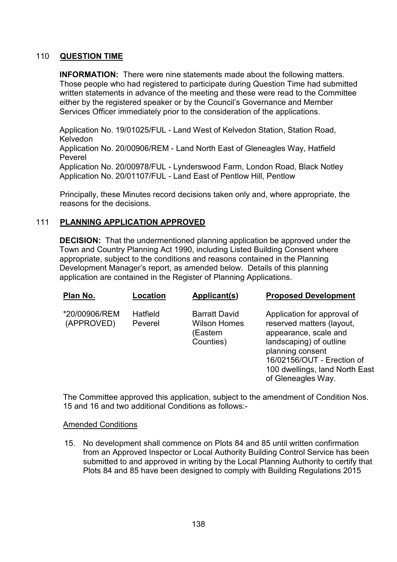## 110 **QUESTION TIME**

**INFORMATION:** There were nine statements made about the following matters. Those people who had registered to participate during Question Time had submitted written statements in advance of the meeting and these were read to the Committee either by the registered speaker or by the Council's Governance and Member Services Officer immediately prior to the consideration of the applications.

Application No. 19/01025/FUL - Land West of Kelvedon Station, Station Road, Kelvedon

Application No. 20/00906/REM - Land North East of Gleneagles Way, Hatfield Peverel

Application No. 20/00978/FUL - Lynderswood Farm, London Road, Black Notley Application No. 20/01107/FUL - Land East of Pentlow Hill, Pentlow

Principally, these Minutes record decisions taken only and, where appropriate, the reasons for the decisions.

## 111 **PLANNING APPLICATION APPROVED**

**DECISION:** That the undermentioned planning application be approved under the Town and Country Planning Act 1990, including Listed Building Consent where appropriate, subject to the conditions and reasons contained in the Planning Development Manager's report, as amended below. Details of this planning application are contained in the Register of Planning Applications.

| Plan No.                    | Location            | Applicant(s)                                                         | <b>Proposed Development</b>                                                                                                                                                                                            |
|-----------------------------|---------------------|----------------------------------------------------------------------|------------------------------------------------------------------------------------------------------------------------------------------------------------------------------------------------------------------------|
| *20/00906/REM<br>(APPROVED) | Hatfield<br>Peverel | <b>Barratt David</b><br><b>Wilson Homes</b><br>(Eastern<br>Counties) | Application for approval of<br>reserved matters (layout,<br>appearance, scale and<br>landscaping) of outline<br>planning consent<br>16/02156/OUT - Erection of<br>100 dwellings, land North East<br>of Gleneagles Way. |

The Committee approved this application, subject to the amendment of Condition Nos. 15 and 16 and two additional Conditions as follows:-

#### Amended Conditions

15. No development shall commence on Plots 84 and 85 until written confirmation from an Approved Inspector or Local Authority Building Control Service has been submitted to and approved in writing by the Local Planning Authority to certify that Plots 84 and 85 have been designed to comply with Building Regulations 2015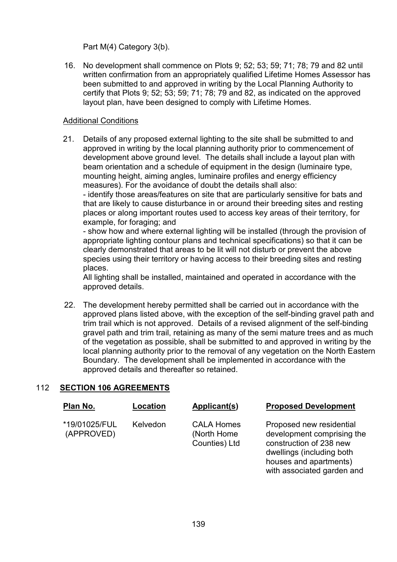Part M(4) Category 3(b).

16. No development shall commence on Plots 9; 52; 53; 59; 71; 78; 79 and 82 until written confirmation from an appropriately qualified Lifetime Homes Assessor has been submitted to and approved in writing by the Local Planning Authority to certify that Plots 9; 52; 53; 59; 71; 78; 79 and 82, as indicated on the approved layout plan, have been designed to comply with Lifetime Homes.

# Additional Conditions

21. Details of any proposed external lighting to the site shall be submitted to and approved in writing by the local planning authority prior to commencement of development above ground level. The details shall include a layout plan with beam orientation and a schedule of equipment in the design (luminaire type, mounting height, aiming angles, luminaire profiles and energy efficiency measures). For the avoidance of doubt the details shall also:

- identify those areas/features on site that are particularly sensitive for bats and that are likely to cause disturbance in or around their breeding sites and resting places or along important routes used to access key areas of their territory, for example, for foraging; and

- show how and where external lighting will be installed (through the provision of appropriate lighting contour plans and technical specifications) so that it can be clearly demonstrated that areas to be lit will not disturb or prevent the above species using their territory or having access to their breeding sites and resting places.

All lighting shall be installed, maintained and operated in accordance with the approved details.

22. The development hereby permitted shall be carried out in accordance with the approved plans listed above, with the exception of the self-binding gravel path and trim trail which is not approved. Details of a revised alignment of the self-binding gravel path and trim trail, retaining as many of the semi mature trees and as much of the vegetation as possible, shall be submitted to and approved in writing by the local planning authority prior to the removal of any vegetation on the North Eastern Boundary. The development shall be implemented in accordance with the approved details and thereafter so retained.

# 112 **SECTION 106 AGREEMENTS**

| Plan No.                    | Location | Applicant(s)                                      | <b>Proposed Development</b>                                                                                                                                            |
|-----------------------------|----------|---------------------------------------------------|------------------------------------------------------------------------------------------------------------------------------------------------------------------------|
| *19/01025/FUL<br>(APPROVED) | Kelvedon | <b>CALA Homes</b><br>(North Home<br>Counties) Ltd | Proposed new residential<br>development comprising the<br>construction of 238 new<br>dwellings (including both<br>houses and apartments)<br>with associated garden and |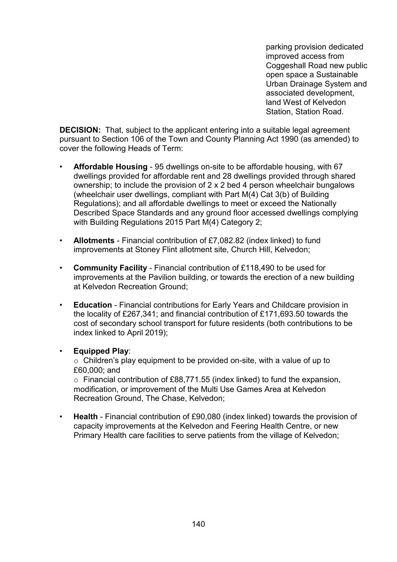parking provision dedicated improved access from Coggeshall Road new public open space a Sustainable Urban Drainage System and associated development, land West of Kelvedon Station, Station Road.

**DECISION:** That, subject to the applicant entering into a suitable legal agreement pursuant to Section 106 of the Town and County Planning Act 1990 (as amended) to cover the following Heads of Term:

- **Affordable Housing** 95 dwellings on-site to be affordable housing, with 67 dwellings provided for affordable rent and 28 dwellings provided through shared ownership; to include the provision of 2 x 2 bed 4 person wheelchair bungalows (wheelchair user dwellings, compliant with Part M(4) Cat 3(b) of Building Regulations); and all affordable dwellings to meet or exceed the Nationally Described Space Standards and any ground floor accessed dwellings complying with Building Regulations 2015 Part M(4) Category 2;
- **Allotments** Financial contribution of £7,082.82 (index linked) to fund improvements at Stoney Flint allotment site, Church Hill, Kelvedon;
- **Community Facility** Financial contribution of £118,490 to be used for improvements at the Pavilion building, or towards the erection of a new building at Kelvedon Recreation Ground;
- **Education** Financial contributions for Early Years and Childcare provision in the locality of £267,341; and financial contribution of £171,693.50 towards the cost of secondary school transport for future residents (both contributions to be index linked to April 2019);

#### • **Equipped Play**:

 $\circ$  Children's play equipment to be provided on-site, with a value of up to £60,000; and

o Financial contribution of £88,771.55 (index linked) to fund the expansion, modification, or improvement of the Multi Use Games Area at Kelvedon Recreation Ground, The Chase, Kelvedon;

• **Health** - Financial contribution of £90,080 (index linked) towards the provision of capacity improvements at the Kelvedon and Feering Health Centre, or new Primary Health care facilities to serve patients from the village of Kelvedon;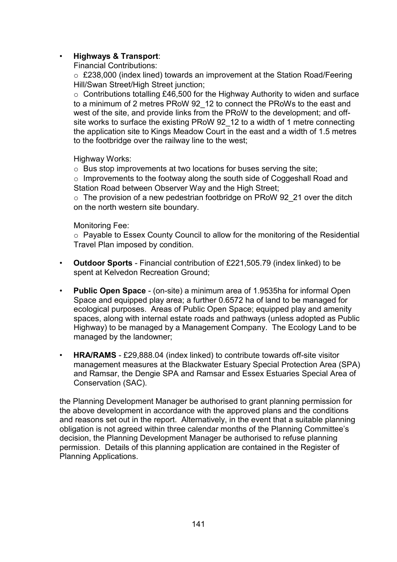# • **Highways & Transport**:

Financial Contributions:

o £238,000 (index lined) towards an improvement at the Station Road/Feering Hill/Swan Street/High Street junction;

o Contributions totalling £46,500 for the Highway Authority to widen and surface to a minimum of 2 metres PRoW 92\_12 to connect the PRoWs to the east and west of the site, and provide links from the PRoW to the development; and offsite works to surface the existing PRoW 92\_12 to a width of 1 metre connecting the application site to Kings Meadow Court in the east and a width of 1.5 metres to the footbridge over the railway line to the west;

Highway Works:

o Bus stop improvements at two locations for buses serving the site;

o Improvements to the footway along the south side of Coggeshall Road and Station Road between Observer Way and the High Street;

 $\circ$  The provision of a new pedestrian footbridge on PRoW 92 21 over the ditch on the north western site boundary.

#### Monitoring Fee:

o Payable to Essex County Council to allow for the monitoring of the Residential Travel Plan imposed by condition.

- **Outdoor Sports** Financial contribution of £221,505.79 (index linked) to be spent at Kelvedon Recreation Ground;
- **Public Open Space** (on-site) a minimum area of 1.9535ha for informal Open Space and equipped play area; a further 0.6572 ha of land to be managed for ecological purposes. Areas of Public Open Space; equipped play and amenity spaces, along with internal estate roads and pathways (unless adopted as Public Highway) to be managed by a Management Company. The Ecology Land to be managed by the landowner;
- **HRA/RAMS** £29,888.04 (index linked) to contribute towards off-site visitor management measures at the Blackwater Estuary Special Protection Area (SPA) and Ramsar, the Dengie SPA and Ramsar and Essex Estuaries Special Area of Conservation (SAC).

the Planning Development Manager be authorised to grant planning permission for the above development in accordance with the approved plans and the conditions and reasons set out in the report. Alternatively, in the event that a suitable planning obligation is not agreed within three calendar months of the Planning Committee's decision, the Planning Development Manager be authorised to refuse planning permission. Details of this planning application are contained in the Register of Planning Applications.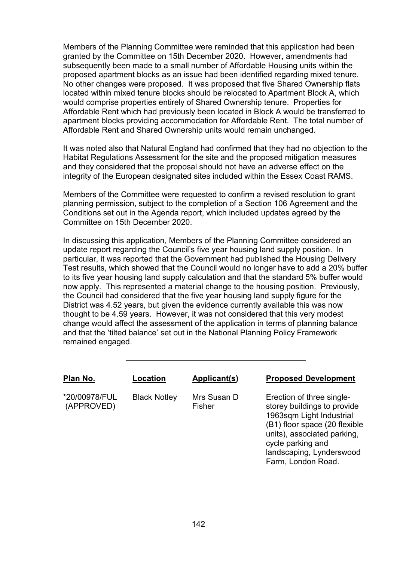Members of the Planning Committee were reminded that this application had been granted by the Committee on 15th December 2020. However, amendments had subsequently been made to a small number of Affordable Housing units within the proposed apartment blocks as an issue had been identified regarding mixed tenure. No other changes were proposed. It was proposed that five Shared Ownership flats located within mixed tenure blocks should be relocated to Apartment Block A, which would comprise properties entirely of Shared Ownership tenure. Properties for Affordable Rent which had previously been located in Block A would be transferred to apartment blocks providing accommodation for Affordable Rent. The total number of Affordable Rent and Shared Ownership units would remain unchanged.

It was noted also that Natural England had confirmed that they had no objection to the Habitat Regulations Assessment for the site and the proposed mitigation measures and they considered that the proposal should not have an adverse effect on the integrity of the European designated sites included within the Essex Coast RAMS.

Members of the Committee were requested to confirm a revised resolution to grant planning permission, subject to the completion of a Section 106 Agreement and the Conditions set out in the Agenda report, which included updates agreed by the Committee on 15th December 2020.

In discussing this application, Members of the Planning Committee considered an update report regarding the Council's five year housing land supply position. In particular, it was reported that the Government had published the Housing Delivery Test results, which showed that the Council would no longer have to add a 20% buffer to its five year housing land supply calculation and that the standard 5% buffer would now apply. This represented a material change to the housing position. Previously, the Council had considered that the five year housing land supply figure for the District was 4.52 years, but given the evidence currently available this was now thought to be 4.59 years. However, it was not considered that this very modest change would affect the assessment of the application in terms of planning balance and that the 'tilted balance' set out in the National Planning Policy Framework remained engaged.

| Plan No.                    | Location            | Applicant(s)          | <b>Proposed Development</b>                                                                                                                                                                                                 |
|-----------------------------|---------------------|-----------------------|-----------------------------------------------------------------------------------------------------------------------------------------------------------------------------------------------------------------------------|
| *20/00978/FUL<br>(APPROVED) | <b>Black Notley</b> | Mrs Susan D<br>Fisher | Erection of three single-<br>storey buildings to provide<br>1963sqm Light Industrial<br>(B1) floor space (20 flexible<br>units), associated parking,<br>cycle parking and<br>landscaping, Lynderswood<br>Farm, London Road. |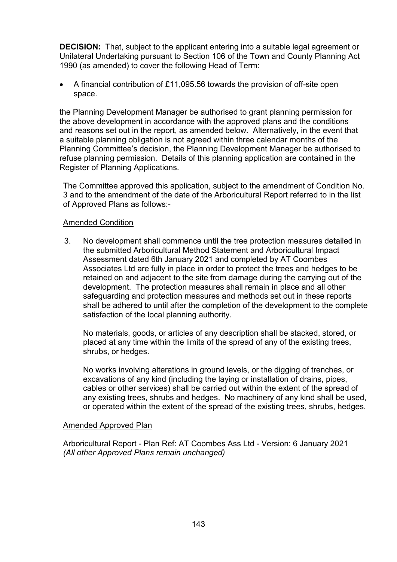**DECISION:** That, subject to the applicant entering into a suitable legal agreement or Unilateral Undertaking pursuant to Section 106 of the Town and County Planning Act 1990 (as amended) to cover the following Head of Term:

• A financial contribution of £11,095.56 towards the provision of off-site open space.

the Planning Development Manager be authorised to grant planning permission for the above development in accordance with the approved plans and the conditions and reasons set out in the report, as amended below. Alternatively, in the event that a suitable planning obligation is not agreed within three calendar months of the Planning Committee's decision, the Planning Development Manager be authorised to refuse planning permission. Details of this planning application are contained in the Register of Planning Applications.

The Committee approved this application, subject to the amendment of Condition No. 3 and to the amendment of the date of the Arboricultural Report referred to in the list of Approved Plans as follows:-

## Amended Condition

3. No development shall commence until the tree protection measures detailed in the submitted Arboricultural Method Statement and Arboricultural Impact Assessment dated 6th January 2021 and completed by AT Coombes Associates Ltd are fully in place in order to protect the trees and hedges to be retained on and adjacent to the site from damage during the carrying out of the development. The protection measures shall remain in place and all other safeguarding and protection measures and methods set out in these reports shall be adhered to until after the completion of the development to the complete satisfaction of the local planning authority.

No materials, goods, or articles of any description shall be stacked, stored, or placed at any time within the limits of the spread of any of the existing trees, shrubs, or hedges.

No works involving alterations in ground levels, or the digging of trenches, or excavations of any kind (including the laying or installation of drains, pipes, cables or other services) shall be carried out within the extent of the spread of any existing trees, shrubs and hedges. No machinery of any kind shall be used, or operated within the extent of the spread of the existing trees, shrubs, hedges.

#### Amended Approved Plan

Arboricultural Report - Plan Ref: AT Coombes Ass Ltd - Version: 6 January 2021 *(All other Approved Plans remain unchanged)*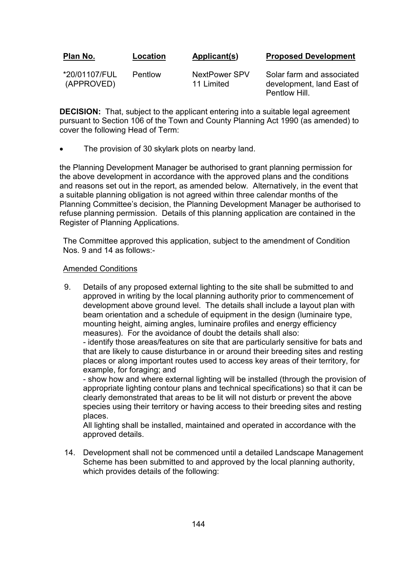| Plan No.                    | Location | Applicant(s)                | <b>Proposed Development</b>                                             |
|-----------------------------|----------|-----------------------------|-------------------------------------------------------------------------|
| *20/01107/FUL<br>(APPROVED) | Pentlow  | NextPower SPV<br>11 Limited | Solar farm and associated<br>development, land East of<br>Pentlow Hill. |

**DECISION:** That, subject to the applicant entering into a suitable legal agreement pursuant to Section 106 of the Town and County Planning Act 1990 (as amended) to cover the following Head of Term:

The provision of 30 skylark plots on nearby land.

the Planning Development Manager be authorised to grant planning permission for the above development in accordance with the approved plans and the conditions and reasons set out in the report, as amended below. Alternatively, in the event that a suitable planning obligation is not agreed within three calendar months of the Planning Committee's decision, the Planning Development Manager be authorised to refuse planning permission. Details of this planning application are contained in the Register of Planning Applications.

The Committee approved this application, subject to the amendment of Condition Nos. 9 and 14 as follows:-

#### Amended Conditions

9. Details of any proposed external lighting to the site shall be submitted to and approved in writing by the local planning authority prior to commencement of development above ground level. The details shall include a layout plan with beam orientation and a schedule of equipment in the design (luminaire type, mounting height, aiming angles, luminaire profiles and energy efficiency measures). For the avoidance of doubt the details shall also:

- identify those areas/features on site that are particularly sensitive for bats and that are likely to cause disturbance in or around their breeding sites and resting places or along important routes used to access key areas of their territory, for example, for foraging; and

- show how and where external lighting will be installed (through the provision of appropriate lighting contour plans and technical specifications) so that it can be clearly demonstrated that areas to be lit will not disturb or prevent the above species using their territory or having access to their breeding sites and resting places.

All lighting shall be installed, maintained and operated in accordance with the approved details.

14. Development shall not be commenced until a detailed Landscape Management Scheme has been submitted to and approved by the local planning authority, which provides details of the following: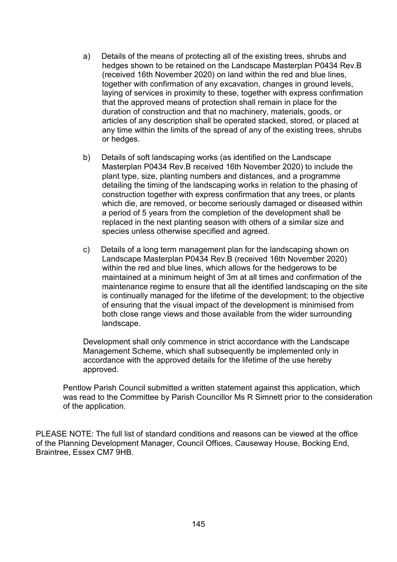- a) Details of the means of protecting all of the existing trees, shrubs and hedges shown to be retained on the Landscape Masterplan P0434 Rev.B (received 16th November 2020) on land within the red and blue lines, together with confirmation of any excavation, changes in ground levels, laying of services in proximity to these, together with express confirmation that the approved means of protection shall remain in place for the duration of construction and that no machinery, materials, goods, or articles of any description shall be operated stacked, stored, or placed at any time within the limits of the spread of any of the existing trees, shrubs or hedges.
- b) Details of soft landscaping works (as identified on the Landscape Masterplan P0434 Rev.B received 16th November 2020) to include the plant type, size, planting numbers and distances, and a programme detailing the timing of the landscaping works in relation to the phasing of construction together with express confirmation that any trees, or plants which die, are removed, or become seriously damaged or diseased within a period of 5 years from the completion of the development shall be replaced in the next planting season with others of a similar size and species unless otherwise specified and agreed.
- c) Details of a long term management plan for the landscaping shown on Landscape Masterplan P0434 Rev.B (received 16th November 2020) within the red and blue lines, which allows for the hedgerows to be maintained at a minimum height of 3m at all times and confirmation of the maintenance regime to ensure that all the identified landscaping on the site is continually managed for the lifetime of the development; to the objective of ensuring that the visual impact of the development is minimised from both close range views and those available from the wider surrounding landscape.

Development shall only commence in strict accordance with the Landscape Management Scheme, which shall subsequently be implemented only in accordance with the approved details for the lifetime of the use hereby approved.

Pentlow Parish Council submitted a written statement against this application, which was read to the Committee by Parish Councillor Ms R Simnett prior to the consideration of the application.

PLEASE NOTE: The full list of standard conditions and reasons can be viewed at the office of the Planning Development Manager, Council Offices, Causeway House, Bocking End, Braintree, Essex CM7 9HB.